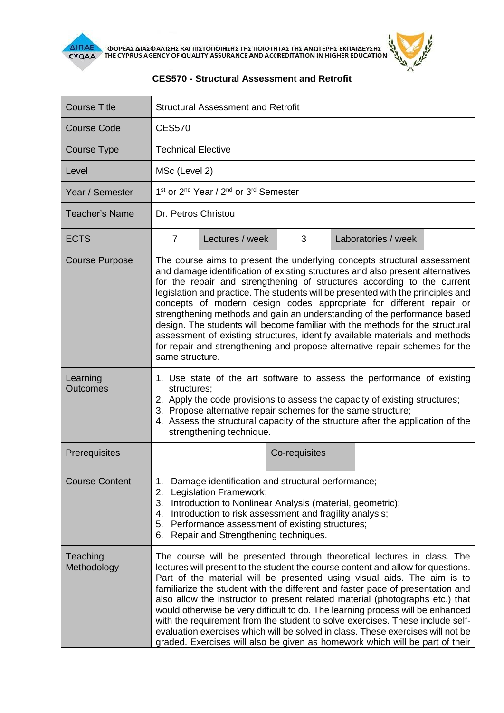

| <b>Course Title</b>     | <b>Structural Assessment and Retrofit</b>                                                                                                                                                                                                                                                                                                                                                                                                                                                                                                                                                                                                                                                                                                       |                 |               |  |                     |  |
|-------------------------|-------------------------------------------------------------------------------------------------------------------------------------------------------------------------------------------------------------------------------------------------------------------------------------------------------------------------------------------------------------------------------------------------------------------------------------------------------------------------------------------------------------------------------------------------------------------------------------------------------------------------------------------------------------------------------------------------------------------------------------------------|-----------------|---------------|--|---------------------|--|
| Course Code             | <b>CES570</b>                                                                                                                                                                                                                                                                                                                                                                                                                                                                                                                                                                                                                                                                                                                                   |                 |               |  |                     |  |
| <b>Course Type</b>      | <b>Technical Elective</b>                                                                                                                                                                                                                                                                                                                                                                                                                                                                                                                                                                                                                                                                                                                       |                 |               |  |                     |  |
| Level                   | MSc (Level 2)                                                                                                                                                                                                                                                                                                                                                                                                                                                                                                                                                                                                                                                                                                                                   |                 |               |  |                     |  |
| Year / Semester         | 1 <sup>st</sup> or 2 <sup>nd</sup> Year / 2 <sup>nd</sup> or 3 <sup>rd</sup> Semester                                                                                                                                                                                                                                                                                                                                                                                                                                                                                                                                                                                                                                                           |                 |               |  |                     |  |
| Teacher's Name          | Dr. Petros Christou                                                                                                                                                                                                                                                                                                                                                                                                                                                                                                                                                                                                                                                                                                                             |                 |               |  |                     |  |
| <b>ECTS</b>             | $\overline{7}$                                                                                                                                                                                                                                                                                                                                                                                                                                                                                                                                                                                                                                                                                                                                  | Lectures / week | 3             |  | Laboratories / week |  |
| <b>Course Purpose</b>   | The course aims to present the underlying concepts structural assessment<br>and damage identification of existing structures and also present alternatives<br>for the repair and strengthening of structures according to the current<br>legislation and practice. The students will be presented with the principles and<br>concepts of modern design codes appropriate for different repair or<br>strengthening methods and gain an understanding of the performance based<br>design. The students will become familiar with the methods for the structural<br>assessment of existing structures, identify available materials and methods<br>for repair and strengthening and propose alternative repair schemes for the<br>same structure.  |                 |               |  |                     |  |
| Learning<br>Outcomes    | 1. Use state of the art software to assess the performance of existing<br>structures;<br>2. Apply the code provisions to assess the capacity of existing structures;<br>3. Propose alternative repair schemes for the same structure;<br>4. Assess the structural capacity of the structure after the application of the<br>strengthening technique.                                                                                                                                                                                                                                                                                                                                                                                            |                 |               |  |                     |  |
| Prerequisites           |                                                                                                                                                                                                                                                                                                                                                                                                                                                                                                                                                                                                                                                                                                                                                 |                 | Co-requisites |  |                     |  |
| <b>Course Content</b>   | Damage identification and structural performance;<br>1.<br>Legislation Framework;<br>2.<br>Introduction to Nonlinear Analysis (material, geometric);<br>3.<br>Introduction to risk assessment and fragility analysis;<br>4.<br>5.<br>Performance assessment of existing structures;<br>Repair and Strengthening techniques.<br>6.                                                                                                                                                                                                                                                                                                                                                                                                               |                 |               |  |                     |  |
| Teaching<br>Methodology | The course will be presented through theoretical lectures in class. The<br>lectures will present to the student the course content and allow for questions.<br>Part of the material will be presented using visual aids. The aim is to<br>familiarize the student with the different and faster pace of presentation and<br>also allow the instructor to present related material (photographs etc.) that<br>would otherwise be very difficult to do. The learning process will be enhanced<br>with the requirement from the student to solve exercises. These include self-<br>evaluation exercises which will be solved in class. These exercises will not be<br>graded. Exercises will also be given as homework which will be part of their |                 |               |  |                     |  |

## **CES570 - Structural Assessment and Retrofit**

 $\mathbf{z}$  $\times$